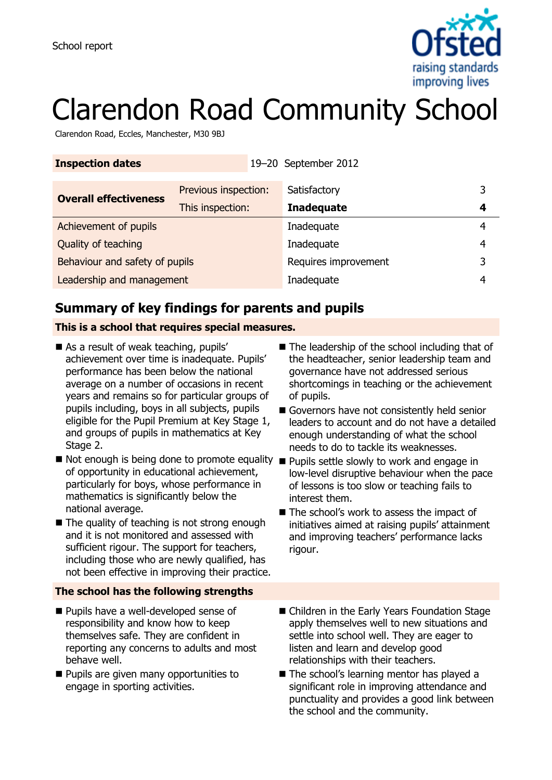

# Clarendon Road Community School

Clarendon Road, Eccles, Manchester, M30 9BJ

| <b>Inspection dates</b>        |                      |  | 19-20 September 2012 |   |
|--------------------------------|----------------------|--|----------------------|---|
| <b>Overall effectiveness</b>   | Previous inspection: |  | Satisfactory         | 3 |
|                                | This inspection:     |  | <b>Inadequate</b>    | 4 |
| Achievement of pupils          |                      |  | Inadequate           | 4 |
| Quality of teaching            |                      |  | Inadequate           | 4 |
| Behaviour and safety of pupils |                      |  | Requires improvement | 3 |
| Leadership and management      |                      |  | Inadequate           | 4 |

# **Summary of key findings for parents and pupils**

### **This is a school that requires special measures.**

- As a result of weak teaching, pupils' achievement over time is inadequate. Pupils' performance has been below the national average on a number of occasions in recent years and remains so for particular groups of pupils including, boys in all subjects, pupils eligible for the Pupil Premium at Key Stage 1, and groups of pupils in mathematics at Key Stage 2.
- Not enough is being done to promote equality Pupils settle slowly to work and engage in of opportunity in educational achievement, particularly for boys, whose performance in mathematics is significantly below the national average.
- $\blacksquare$  The quality of teaching is not strong enough and it is not monitored and assessed with sufficient rigour. The support for teachers, including those who are newly qualified, has not been effective in improving their practice.

#### **The school has the following strengths**

- **Pupils have a well-developed sense of** responsibility and know how to keep themselves safe. They are confident in reporting any concerns to adults and most behave well.
- **Pupils are given many opportunities to** engage in sporting activities.
- The leadership of the school including that of the headteacher, senior leadership team and governance have not addressed serious shortcomings in teaching or the achievement of pupils.
- Governors have not consistently held senior leaders to account and do not have a detailed enough understanding of what the school needs to do to tackle its weaknesses.
- low-level disruptive behaviour when the pace of lessons is too slow or teaching fails to interest them.
- The school's work to assess the impact of initiatives aimed at raising pupils' attainment and improving teachers' performance lacks rigour.
- Children in the Early Years Foundation Stage apply themselves well to new situations and settle into school well. They are eager to listen and learn and develop good relationships with their teachers.
- The school's learning mentor has played a significant role in improving attendance and punctuality and provides a good link between the school and the community.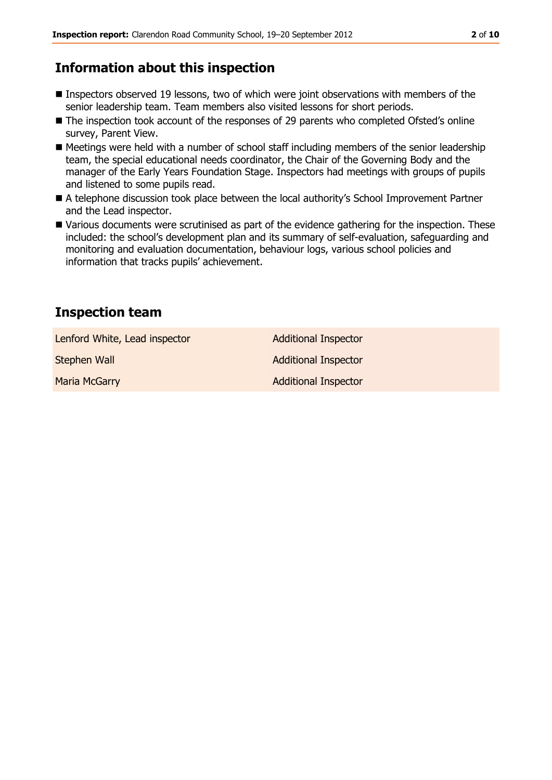# **Information about this inspection**

- Inspectors observed 19 lessons, two of which were joint observations with members of the senior leadership team. Team members also visited lessons for short periods.
- The inspection took account of the responses of 29 parents who completed Ofsted's online survey, Parent View.
- Meetings were held with a number of school staff including members of the senior leadership team, the special educational needs coordinator, the Chair of the Governing Body and the manager of the Early Years Foundation Stage. Inspectors had meetings with groups of pupils and listened to some pupils read.
- A telephone discussion took place between the local authority's School Improvement Partner and the Lead inspector.
- Various documents were scrutinised as part of the evidence gathering for the inspection. These included: the school's development plan and its summary of self-evaluation, safeguarding and monitoring and evaluation documentation, behaviour logs, various school policies and information that tracks pupils' achievement.

# **Inspection team**

| Lenford White, Lead inspector | <b>Additional Inspector</b> |
|-------------------------------|-----------------------------|
| Stephen Wall                  | <b>Additional Inspector</b> |
| <b>Maria McGarry</b>          | <b>Additional Inspector</b> |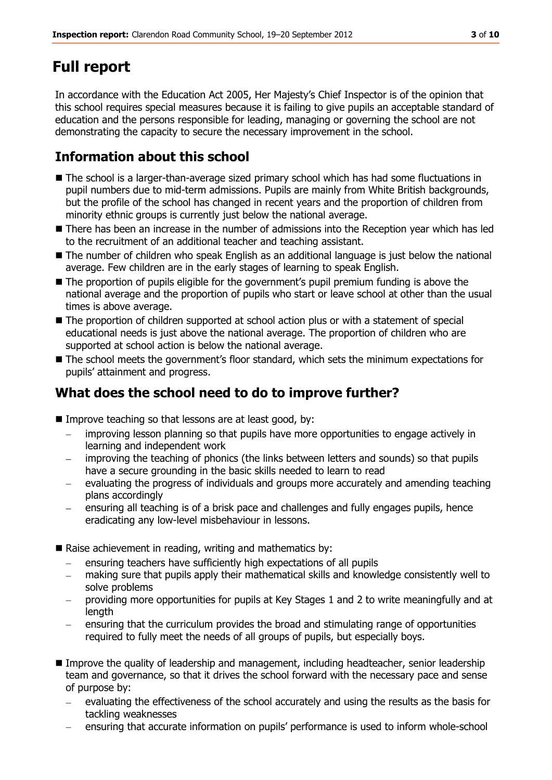# **Full report**

In accordance with the Education Act 2005, Her Majesty's Chief Inspector is of the opinion that this school requires special measures because it is failing to give pupils an acceptable standard of education and the persons responsible for leading, managing or governing the school are not demonstrating the capacity to secure the necessary improvement in the school.

# **Information about this school**

- The school is a larger-than-average sized primary school which has had some fluctuations in pupil numbers due to mid-term admissions. Pupils are mainly from White British backgrounds, but the profile of the school has changed in recent years and the proportion of children from minority ethnic groups is currently just below the national average.
- There has been an increase in the number of admissions into the Reception year which has led to the recruitment of an additional teacher and teaching assistant.
- The number of children who speak English as an additional language is just below the national average. Few children are in the early stages of learning to speak English.
- The proportion of pupils eligible for the government's pupil premium funding is above the national average and the proportion of pupils who start or leave school at other than the usual times is above average.
- $\blacksquare$  The proportion of children supported at school action plus or with a statement of special educational needs is just above the national average. The proportion of children who are supported at school action is below the national average.
- The school meets the government's floor standard, which sets the minimum expectations for pupils' attainment and progress.

# **What does the school need to do to improve further?**

- Improve teaching so that lessons are at least good, by:
	- improving lesson planning so that pupils have more opportunities to engage actively in  $\frac{1}{2}$ learning and independent work
	- improving the teaching of phonics (the links between letters and sounds) so that pupils  $\sim$ have a secure grounding in the basic skills needed to learn to read
	- evaluating the progress of individuals and groups more accurately and amending teaching  $\frac{1}{2}$ plans accordingly
	- ensuring all teaching is of a brisk pace and challenges and fully engages pupils, hence eradicating any low-level misbehaviour in lessons.
- Raise achievement in reading, writing and mathematics by:
	- ensuring teachers have sufficiently high expectations of all pupils
	- making sure that pupils apply their mathematical skills and knowledge consistently well to solve problems
	- providing more opportunities for pupils at Key Stages 1 and 2 to write meaningfully and at length
	- ensuring that the curriculum provides the broad and stimulating range of opportunities required to fully meet the needs of all groups of pupils, but especially boys.
- Improve the quality of leadership and management, including headteacher, senior leadership team and governance, so that it drives the school forward with the necessary pace and sense of purpose by:
	- evaluating the effectiveness of the school accurately and using the results as the basis for tackling weaknesses
	- ensuring that accurate information on pupils' performance is used to inform whole-school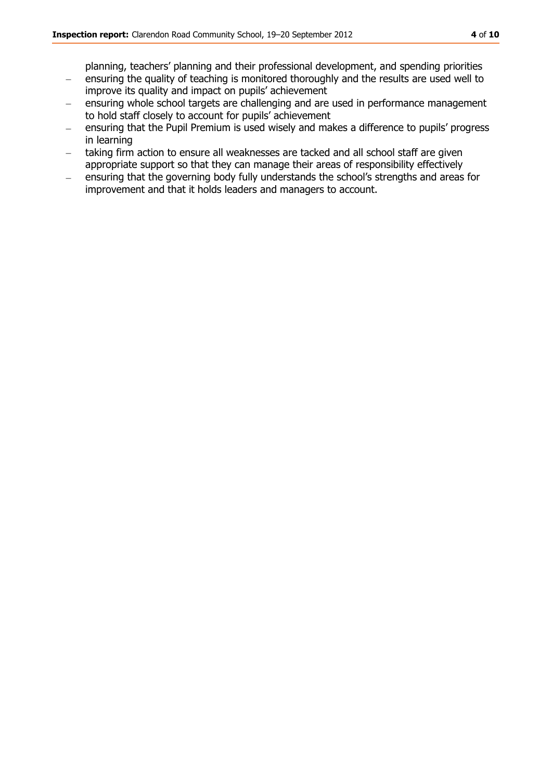planning, teachers' planning and their professional development, and spending priorities

- ensuring the quality of teaching is monitored thoroughly and the results are used well to  $\sim$ improve its quality and impact on pupils' achievement
- ensuring whole school targets are challenging and are used in performance management to hold staff closely to account for pupils' achievement
- ensuring that the Pupil Premium is used wisely and makes a difference to pupils' progress  $\equiv$ in learning
- taking firm action to ensure all weaknesses are tacked and all school staff are given appropriate support so that they can manage their areas of responsibility effectively
- ensuring that the governing body fully understands the school's strengths and areas for  $\equiv$ improvement and that it holds leaders and managers to account.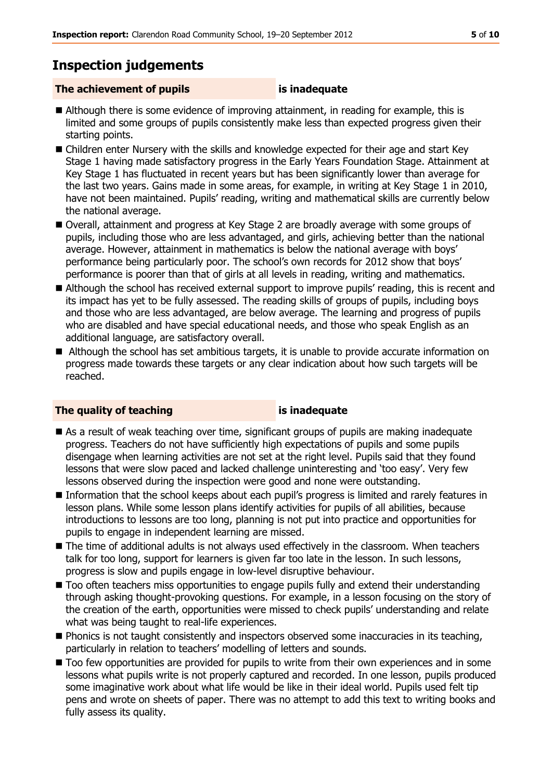# **Inspection judgements**

### **The achievement of pupils is inadequate**

- Although there is some evidence of improving attainment, in reading for example, this is limited and some groups of pupils consistently make less than expected progress given their starting points.
- Children enter Nursery with the skills and knowledge expected for their age and start Key Stage 1 having made satisfactory progress in the Early Years Foundation Stage. Attainment at Key Stage 1 has fluctuated in recent years but has been significantly lower than average for the last two years. Gains made in some areas, for example, in writing at Key Stage 1 in 2010, have not been maintained. Pupils' reading, writing and mathematical skills are currently below the national average.
- Overall, attainment and progress at Key Stage 2 are broadly average with some groups of pupils, including those who are less advantaged, and girls, achieving better than the national average. However, attainment in mathematics is below the national average with boys' performance being particularly poor. The school's own records for 2012 show that boys' performance is poorer than that of girls at all levels in reading, writing and mathematics.
- Although the school has received external support to improve pupils' reading, this is recent and its impact has yet to be fully assessed. The reading skills of groups of pupils, including boys and those who are less advantaged, are below average. The learning and progress of pupils who are disabled and have special educational needs, and those who speak English as an additional language, are satisfactory overall.
- Although the school has set ambitious targets, it is unable to provide accurate information on progress made towards these targets or any clear indication about how such targets will be reached.

### **The quality of teaching is inadequate**

- As a result of weak teaching over time, significant groups of pupils are making inadequate progress. Teachers do not have sufficiently high expectations of pupils and some pupils disengage when learning activities are not set at the right level. Pupils said that they found lessons that were slow paced and lacked challenge uninteresting and 'too easy'. Very few lessons observed during the inspection were good and none were outstanding.
- Information that the school keeps about each pupil's progress is limited and rarely features in lesson plans. While some lesson plans identify activities for pupils of all abilities, because introductions to lessons are too long, planning is not put into practice and opportunities for pupils to engage in independent learning are missed.
- The time of additional adults is not always used effectively in the classroom. When teachers talk for too long, support for learners is given far too late in the lesson. In such lessons, progress is slow and pupils engage in low-level disruptive behaviour.
- $\blacksquare$  Too often teachers miss opportunities to engage pupils fully and extend their understanding through asking thought-provoking questions. For example, in a lesson focusing on the story of the creation of the earth, opportunities were missed to check pupils' understanding and relate what was being taught to real-life experiences.
- **Phonics is not taught consistently and inspectors observed some inaccuracies in its teaching,** particularly in relation to teachers' modelling of letters and sounds.
- Too few opportunities are provided for pupils to write from their own experiences and in some lessons what pupils write is not properly captured and recorded. In one lesson, pupils produced some imaginative work about what life would be like in their ideal world. Pupils used felt tip pens and wrote on sheets of paper. There was no attempt to add this text to writing books and fully assess its quality.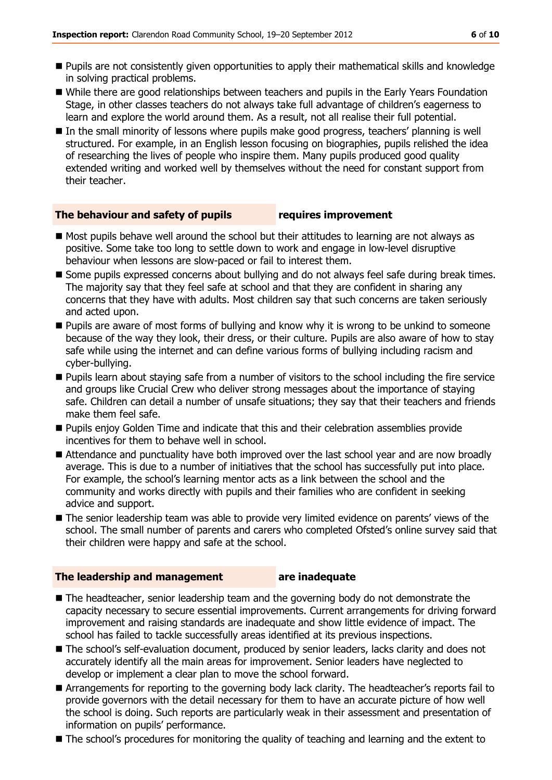- Pupils are not consistently given opportunities to apply their mathematical skills and knowledge in solving practical problems.
- While there are good relationships between teachers and pupils in the Early Years Foundation Stage, in other classes teachers do not always take full advantage of children's eagerness to learn and explore the world around them. As a result, not all realise their full potential.
- In the small minority of lessons where pupils make good progress, teachers' planning is well structured. For example, in an English lesson focusing on biographies, pupils relished the idea of researching the lives of people who inspire them. Many pupils produced good quality extended writing and worked well by themselves without the need for constant support from their teacher.

#### **The behaviour and safety of pupils requires improvement**

- $\blacksquare$  Most pupils behave well around the school but their attitudes to learning are not always as positive. Some take too long to settle down to work and engage in low-level disruptive behaviour when lessons are slow-paced or fail to interest them.
- Some pupils expressed concerns about bullying and do not always feel safe during break times. The majority say that they feel safe at school and that they are confident in sharing any concerns that they have with adults. Most children say that such concerns are taken seriously and acted upon.
- **Pupils are aware of most forms of bullying and know why it is wrong to be unkind to someone** because of the way they look, their dress, or their culture. Pupils are also aware of how to stay safe while using the internet and can define various forms of bullying including racism and cyber-bullying.
- **Pupils learn about staying safe from a number of visitors to the school including the fire service** and groups like Crucial Crew who deliver strong messages about the importance of staying safe. Children can detail a number of unsafe situations; they say that their teachers and friends make them feel safe.
- Pupils enjoy Golden Time and indicate that this and their celebration assemblies provide incentives for them to behave well in school.
- Attendance and punctuality have both improved over the last school year and are now broadly average. This is due to a number of initiatives that the school has successfully put into place. For example, the school's learning mentor acts as a link between the school and the community and works directly with pupils and their families who are confident in seeking advice and support.
- The senior leadership team was able to provide very limited evidence on parents' views of the school. The small number of parents and carers who completed Ofsted's online survey said that their children were happy and safe at the school.

#### **The leadership and management are inadequate**

- The headteacher, senior leadership team and the governing body do not demonstrate the capacity necessary to secure essential improvements. Current arrangements for driving forward improvement and raising standards are inadequate and show little evidence of impact. The school has failed to tackle successfully areas identified at its previous inspections.
- The school's self-evaluation document, produced by senior leaders, lacks clarity and does not accurately identify all the main areas for improvement. Senior leaders have neglected to develop or implement a clear plan to move the school forward.
- Arrangements for reporting to the governing body lack clarity. The headteacher's reports fail to provide governors with the detail necessary for them to have an accurate picture of how well the school is doing. Such reports are particularly weak in their assessment and presentation of information on pupils' performance.
- The school's procedures for monitoring the quality of teaching and learning and the extent to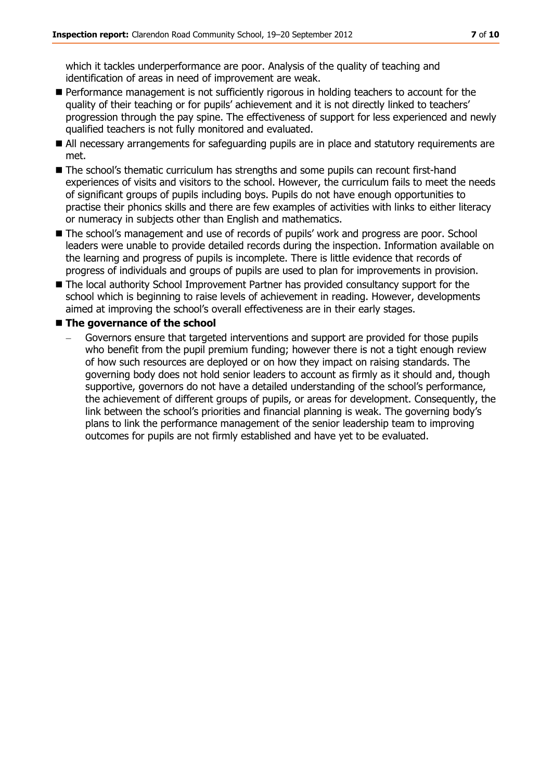which it tackles underperformance are poor. Analysis of the quality of teaching and identification of areas in need of improvement are weak.

- **Performance management is not sufficiently rigorous in holding teachers to account for the** quality of their teaching or for pupils' achievement and it is not directly linked to teachers' progression through the pay spine. The effectiveness of support for less experienced and newly qualified teachers is not fully monitored and evaluated.
- All necessary arrangements for safeguarding pupils are in place and statutory requirements are met.
- The school's thematic curriculum has strengths and some pupils can recount first-hand experiences of visits and visitors to the school. However, the curriculum fails to meet the needs of significant groups of pupils including boys. Pupils do not have enough opportunities to practise their phonics skills and there are few examples of activities with links to either literacy or numeracy in subjects other than English and mathematics.
- The school's management and use of records of pupils' work and progress are poor. School leaders were unable to provide detailed records during the inspection. Information available on the learning and progress of pupils is incomplete. There is little evidence that records of progress of individuals and groups of pupils are used to plan for improvements in provision.
- The local authority School Improvement Partner has provided consultancy support for the school which is beginning to raise levels of achievement in reading. However, developments aimed at improving the school's overall effectiveness are in their early stages.

#### **The governance of the school**

Governors ensure that targeted interventions and support are provided for those pupils who benefit from the pupil premium funding; however there is not a tight enough review of how such resources are deployed or on how they impact on raising standards. The governing body does not hold senior leaders to account as firmly as it should and, though supportive, governors do not have a detailed understanding of the school's performance, the achievement of different groups of pupils, or areas for development. Consequently, the link between the school's priorities and financial planning is weak. The governing body's plans to link the performance management of the senior leadership team to improving outcomes for pupils are not firmly established and have yet to be evaluated.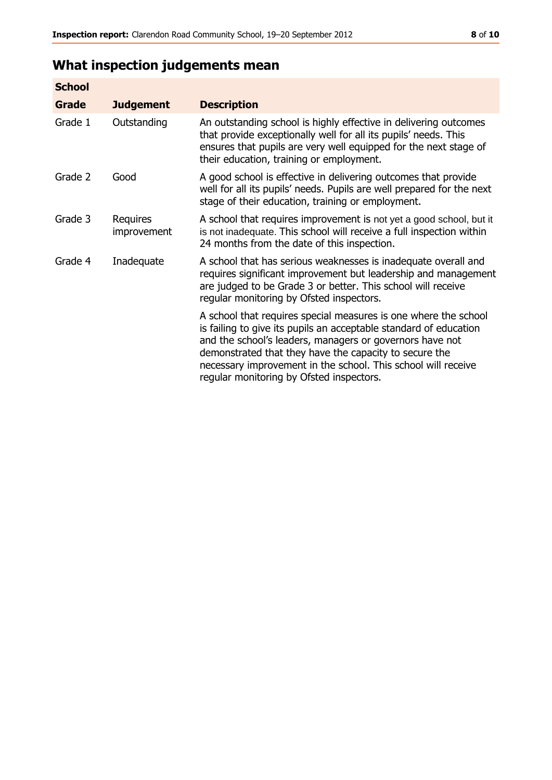# **What inspection judgements mean**

| <b>School</b> |                         |                                                                                                                                                                                                                                                                                                                                                                         |
|---------------|-------------------------|-------------------------------------------------------------------------------------------------------------------------------------------------------------------------------------------------------------------------------------------------------------------------------------------------------------------------------------------------------------------------|
| Grade         | <b>Judgement</b>        | <b>Description</b>                                                                                                                                                                                                                                                                                                                                                      |
| Grade 1       | Outstanding             | An outstanding school is highly effective in delivering outcomes<br>that provide exceptionally well for all its pupils' needs. This<br>ensures that pupils are very well equipped for the next stage of<br>their education, training or employment.                                                                                                                     |
| Grade 2       | Good                    | A good school is effective in delivering outcomes that provide<br>well for all its pupils' needs. Pupils are well prepared for the next<br>stage of their education, training or employment.                                                                                                                                                                            |
| Grade 3       | Requires<br>improvement | A school that requires improvement is not yet a good school, but it<br>is not inadequate. This school will receive a full inspection within<br>24 months from the date of this inspection.                                                                                                                                                                              |
| Grade 4       | Inadequate              | A school that has serious weaknesses is inadequate overall and<br>requires significant improvement but leadership and management<br>are judged to be Grade 3 or better. This school will receive<br>regular monitoring by Ofsted inspectors.                                                                                                                            |
|               |                         | A school that requires special measures is one where the school<br>is failing to give its pupils an acceptable standard of education<br>and the school's leaders, managers or governors have not<br>demonstrated that they have the capacity to secure the<br>necessary improvement in the school. This school will receive<br>regular monitoring by Ofsted inspectors. |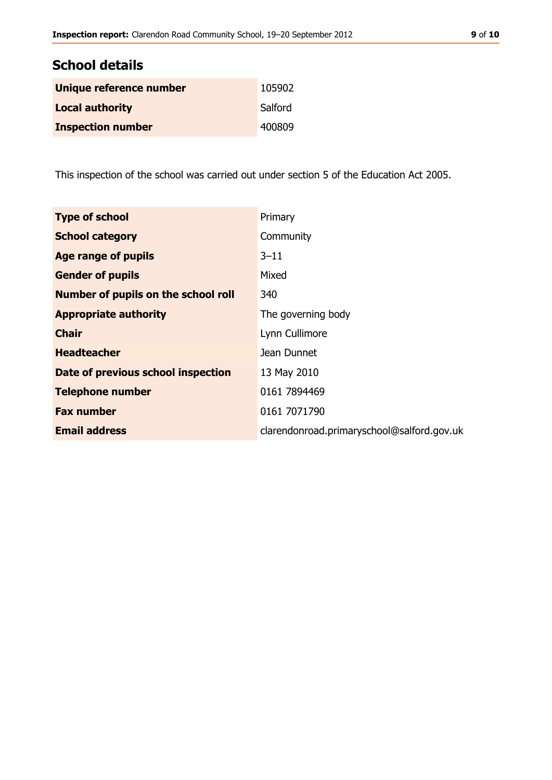| <b>School details</b>    |         |  |
|--------------------------|---------|--|
| Unique reference number  | 105902  |  |
| <b>Local authority</b>   | Salford |  |
| <b>Inspection number</b> | 400809  |  |

This inspection of the school was carried out under section 5 of the Education Act 2005.

| <b>Type of school</b>               | Primary                                    |
|-------------------------------------|--------------------------------------------|
| <b>School category</b>              | Community                                  |
| <b>Age range of pupils</b>          | $3 - 11$                                   |
| <b>Gender of pupils</b>             | Mixed                                      |
| Number of pupils on the school roll | 340                                        |
| <b>Appropriate authority</b>        | The governing body                         |
| <b>Chair</b>                        | Lynn Cullimore                             |
| <b>Headteacher</b>                  | Jean Dunnet                                |
| Date of previous school inspection  | 13 May 2010                                |
| <b>Telephone number</b>             | 0161 7894469                               |
| <b>Fax number</b>                   | 0161 7071790                               |
| <b>Email address</b>                | clarendonroad.primaryschool@salford.gov.uk |